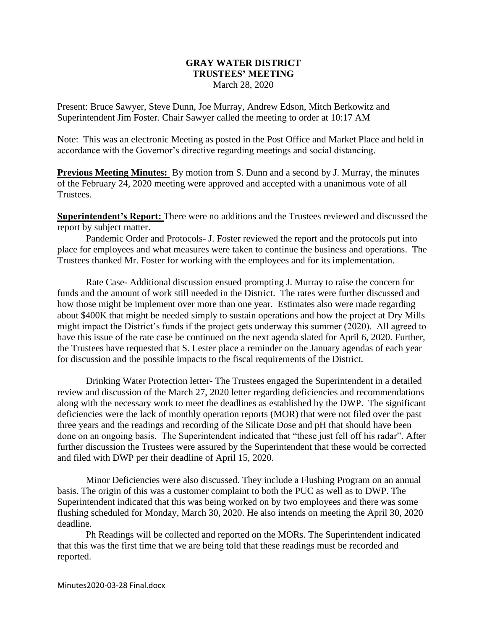## **GRAY WATER DISTRICT TRUSTEES' MEETING** March 28, 2020

Present: Bruce Sawyer, Steve Dunn, Joe Murray, Andrew Edson, Mitch Berkowitz and Superintendent Jim Foster. Chair Sawyer called the meeting to order at 10:17 AM

Note: This was an electronic Meeting as posted in the Post Office and Market Place and held in accordance with the Governor's directive regarding meetings and social distancing.

**Previous Meeting Minutes:** By motion from S. Dunn and a second by J. Murray, the minutes of the February 24, 2020 meeting were approved and accepted with a unanimous vote of all Trustees.

**Superintendent's Report:** There were no additions and the Trustees reviewed and discussed the report by subject matter.

Pandemic Order and Protocols- J. Foster reviewed the report and the protocols put into place for employees and what measures were taken to continue the business and operations. The Trustees thanked Mr. Foster for working with the employees and for its implementation.

Rate Case- Additional discussion ensued prompting J. Murray to raise the concern for funds and the amount of work still needed in the District. The rates were further discussed and how those might be implement over more than one year. Estimates also were made regarding about \$400K that might be needed simply to sustain operations and how the project at Dry Mills might impact the District's funds if the project gets underway this summer (2020). All agreed to have this issue of the rate case be continued on the next agenda slated for April 6, 2020. Further, the Trustees have requested that S. Lester place a reminder on the January agendas of each year for discussion and the possible impacts to the fiscal requirements of the District.

Drinking Water Protection letter- The Trustees engaged the Superintendent in a detailed review and discussion of the March 27, 2020 letter regarding deficiencies and recommendations along with the necessary work to meet the deadlines as established by the DWP. The significant deficiencies were the lack of monthly operation reports (MOR) that were not filed over the past three years and the readings and recording of the Silicate Dose and pH that should have been done on an ongoing basis. The Superintendent indicated that "these just fell off his radar". After further discussion the Trustees were assured by the Superintendent that these would be corrected and filed with DWP per their deadline of April 15, 2020.

Minor Deficiencies were also discussed. They include a Flushing Program on an annual basis. The origin of this was a customer complaint to both the PUC as well as to DWP. The Superintendent indicated that this was being worked on by two employees and there was some flushing scheduled for Monday, March 30, 2020. He also intends on meeting the April 30, 2020 deadline.

Ph Readings will be collected and reported on the MORs. The Superintendent indicated that this was the first time that we are being told that these readings must be recorded and reported.